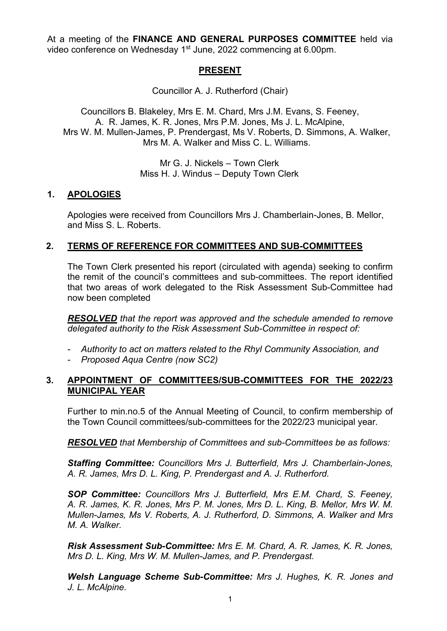At a meeting of the **FINANCE AND GENERAL PURPOSES COMMITTEE** held via video conference on Wednesday 1<sup>st</sup> June, 2022 commencing at 6.00pm.

# **PRESENT**

Councillor A. J. Rutherford (Chair)

Councillors B. Blakeley, Mrs E. M. Chard, Mrs J.M. Evans, S. Feeney, A. R. James, K. R. Jones, Mrs P.M. Jones, Ms J. L. McAlpine, Mrs W. M. Mullen-James, P. Prendergast, Ms V. Roberts, D. Simmons, A. Walker, Mrs M. A. Walker and Miss C. L. Williams.

> Mr G. J. Nickels – Town Clerk Miss H. J. Windus – Deputy Town Clerk

### **1. APOLOGIES**

Apologies were received from Councillors Mrs J. Chamberlain-Jones, B. Mellor, and Miss S. L. Roberts.

# **2. TERMS OF REFERENCE FOR COMMITTEES AND SUB-COMMITTEES**

The Town Clerk presented his report (circulated with agenda) seeking to confirm the remit of the council's committees and sub-committees. The report identified that two areas of work delegated to the Risk Assessment Sub-Committee had now been completed

*RESOLVED that the report was approved and the schedule amended to remove delegated authority to the Risk Assessment Sub-Committee in respect of:* 

- *Authority to act on matters related to the Rhyl Community Association, and*
- *Proposed Aqua Centre (now SC2)*

### **3. APPOINTMENT OF COMMITTEES/SUB-COMMITTEES FOR THE 2022/23 MUNICIPAL YEAR**

Further to min.no.5 of the Annual Meeting of Council, to confirm membership of the Town Council committees/sub-committees for the 2022/23 municipal year.

*RESOLVED that Membership of Committees and sub-Committees be as follows:*

*Staffing Committee: Councillors Mrs J. Butterfield, Mrs J. Chamberlain-Jones, A. R. James, Mrs D. L. King, P. Prendergast and A. J. Rutherford.*

*SOP Committee: Councillors Mrs J. Butterfield, Mrs E.M. Chard, S. Feeney, A. R. James, K. R. Jones, Mrs P. M. Jones, Mrs D. L. King, B. Mellor, Mrs W. M. Mullen-James, Ms V. Roberts, A. J. Rutherford, D. Simmons, A. Walker and Mrs M. A. Walker.*

*Risk Assessment Sub-Committee: Mrs E. M. Chard, A. R. James, K. R. Jones, Mrs D. L. King, Mrs W. M. Mullen-James, and P. Prendergast.*

*Welsh Language Scheme Sub-Committee: Mrs J. Hughes, K. R. Jones and J. L. McAlpine.*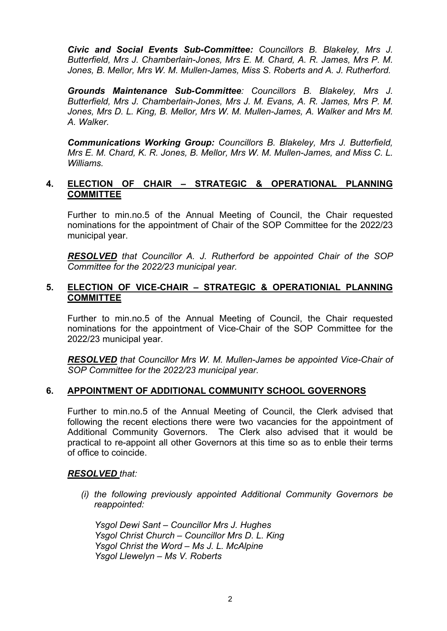*Civic and Social Events Sub-Committee: Councillors B. Blakeley, Mrs J. Butterfield, Mrs J. Chamberlain-Jones, Mrs E. M. Chard, A. R. James, Mrs P. M. Jones, B. Mellor, Mrs W. M. Mullen-James, Miss S. Roberts and A. J. Rutherford.* 

*Grounds Maintenance Sub-Committee: Councillors B. Blakeley, Mrs J. Butterfield, Mrs J. Chamberlain-Jones, Mrs J. M. Evans, A. R. James, Mrs P. M. Jones, Mrs D. L. King, B. Mellor, Mrs W. M. Mullen-James, A. Walker and Mrs M. A. Walker.* 

*Communications Working Group: Councillors B. Blakeley, Mrs J. Butterfield, Mrs E. M. Chard, K. R. Jones, B. Mellor, Mrs W. M. Mullen-James, and Miss C. L. Williams.*

### **4. ELECTION OF CHAIR – STRATEGIC & OPERATIONAL PLANNING COMMITTEE**

Further to min.no.5 of the Annual Meeting of Council, the Chair requested nominations for the appointment of Chair of the SOP Committee for the 2022/23 municipal year.

*RESOLVED that Councillor A. J. Rutherford be appointed Chair of the SOP Committee for the 2022/23 municipal year.* 

### **5. ELECTION OF VICE-CHAIR – STRATEGIC & OPERATIONIAL PLANNING COMMITTEE**

Further to min.no.5 of the Annual Meeting of Council, the Chair requested nominations for the appointment of Vice-Chair of the SOP Committee for the 2022/23 municipal year.

*RESOLVED that Councillor Mrs W. M. Mullen-James be appointed Vice-Chair of SOP Committee for the 2022/23 municipal year.*

### **6. APPOINTMENT OF ADDITIONAL COMMUNITY SCHOOL GOVERNORS**

Further to min.no.5 of the Annual Meeting of Council, the Clerk advised that following the recent elections there were two vacancies for the appointment of Additional Community Governors. The Clerk also advised that it would be practical to re-appoint all other Governors at this time so as to enble their terms of office to coincide.

#### *RESOLVED that:*

*(i) the following previously appointed Additional Community Governors be reappointed:* 

*Ysgol Dewi Sant – Councillor Mrs J. Hughes Ysgol Christ Church – Councillor Mrs D. L. King Ysgol Christ the Word – Ms J. L. McAlpine Ysgol Llewelyn – Ms V. Roberts*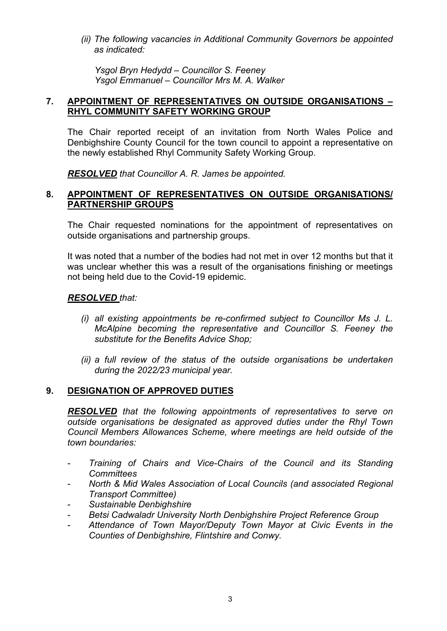*(ii) The following vacancies in Additional Community Governors be appointed as indicated:*

*Ysgol Bryn Hedydd – Councillor S. Feeney Ysgol Emmanuel – Councillor Mrs M. A. Walker*

## **7. APPOINTMENT OF REPRESENTATIVES ON OUTSIDE ORGANISATIONS – RHYL COMMUNITY SAFETY WORKING GROUP**

The Chair reported receipt of an invitation from North Wales Police and Denbighshire County Council for the town council to appoint a representative on the newly established Rhyl Community Safety Working Group.

*RESOLVED that Councillor A. R. James be appointed.*

## **8. APPOINTMENT OF REPRESENTATIVES ON OUTSIDE ORGANISATIONS/ PARTNERSHIP GROUPS**

The Chair requested nominations for the appointment of representatives on outside organisations and partnership groups.

It was noted that a number of the bodies had not met in over 12 months but that it was unclear whether this was a result of the organisations finishing or meetings not being held due to the Covid-19 epidemic.

# *RESOLVED that:*

- *(i) all existing appointments be re-confirmed subject to Councillor Ms J. L. McAlpine becoming the representative and Councillor S. Feeney the substitute for the Benefits Advice Shop;*
- *(ii) a full review of the status of the outside organisations be undertaken during the 2022/23 municipal year.*

### **9. DESIGNATION OF APPROVED DUTIES**

*RESOLVED that the following appointments of representatives to serve on outside organisations be designated as approved duties under the Rhyl Town Council Members Allowances Scheme, where meetings are held outside of the town boundaries:*

- *Training of Chairs and Vice-Chairs of the Council and its Standing Committees*
- *North & Mid Wales Association of Local Councils (and associated Regional Transport Committee)*
- *Sustainable Denbighshire*
- *Betsi Cadwaladr University North Denbighshire Project Reference Group*
- *Attendance of Town Mayor/Deputy Town Mayor at Civic Events in the Counties of Denbighshire, Flintshire and Conwy.*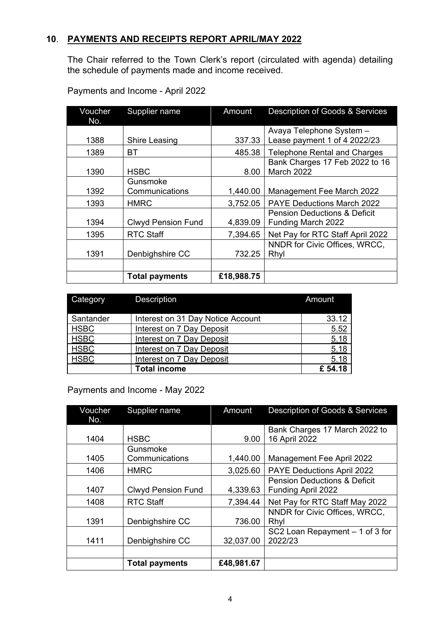# **10**. **PAYMENTS AND RECEIPTS REPORT APRIL/MAY 2022**

The Chair referred to the Town Clerk's report (circulated with agenda) detailing the schedule of payments made and income received.

| Voucher | Supplier name             | Amount     | Description of Goods & Services         |
|---------|---------------------------|------------|-----------------------------------------|
| No.     |                           |            |                                         |
|         |                           |            | Avaya Telephone System -                |
| 1388    | Shire Leasing             | 337.33     | Lease payment 1 of 4 2022/23            |
| 1389    | ВT                        | 485.38     | <b>Telephone Rental and Charges</b>     |
|         |                           |            | Bank Charges 17 Feb 2022 to 16          |
| 1390    | <b>HSBC</b>               | 8.00       | March 2022                              |
|         | Gunsmoke                  |            |                                         |
| 1392    | Communications            | 1,440.00   | Management Fee March 2022               |
| 1393    | <b>HMRC</b>               | 3,752.05   | <b>PAYE Deductions March 2022</b>       |
|         |                           |            | <b>Pension Deductions &amp; Deficit</b> |
| 1394    | <b>Clwyd Pension Fund</b> | 4,839.09   | Funding March 2022                      |
| 1395    | <b>RTC Staff</b>          | 7,394.65   | Net Pay for RTC Staff April 2022        |
|         |                           |            | NNDR for Civic Offices, WRCC,           |
| 1391    | Denbighshire CC           | 732.25     | Rhyl                                    |
|         |                           |            |                                         |
|         | <b>Total payments</b>     | £18,988.75 |                                         |

Payments and Income - April 2022

| Category    | <b>Description</b>                | Amount |
|-------------|-----------------------------------|--------|
| Santander   | Interest on 31 Day Notice Account | 33.12  |
| <b>HSBC</b> | <b>Interest on 7 Day Deposit</b>  | 5.52   |
| <b>HSBC</b> | <b>Interest on 7 Day Deposit</b>  | 5.18   |
| <b>HSBC</b> | Interest on 7 Day Deposit         | 5.18   |
| <b>HSBC</b> | <b>Interest on 7 Day Deposit</b>  | 5.18   |
|             | <b>Total income</b>               | £54.18 |

Payments and Income - May 2022

| Voucher<br>No. | Supplier name             | Amount     | <b>Description of Goods &amp; Services</b> |
|----------------|---------------------------|------------|--------------------------------------------|
|                |                           |            | Bank Charges 17 March 2022 to              |
| 1404           | <b>HSBC</b>               | 9.00       | 16 April 2022                              |
|                | Gunsmoke                  |            |                                            |
| 1405           | Communications            | 1,440.00   | Management Fee April 2022                  |
| 1406           | <b>HMRC</b>               | 3,025.60   | PAYE Deductions April 2022                 |
|                |                           |            | <b>Pension Deductions &amp; Deficit</b>    |
| 1407           | <b>Clwyd Pension Fund</b> | 4,339.63   | Funding April 2022                         |
| 1408           | <b>RTC Staff</b>          | 7,394.44   | Net Pay for RTC Staff May 2022             |
|                |                           |            | NNDR for Civic Offices, WRCC,              |
| 1391           | Denbighshire CC           | 736.00     | Rhyl                                       |
|                |                           |            | SC2 Loan Repayment - 1 of 3 for            |
| 1411           | Denbighshire CC           | 32,037.00  | 2022/23                                    |
|                |                           |            |                                            |
|                | <b>Total payments</b>     | £48,981.67 |                                            |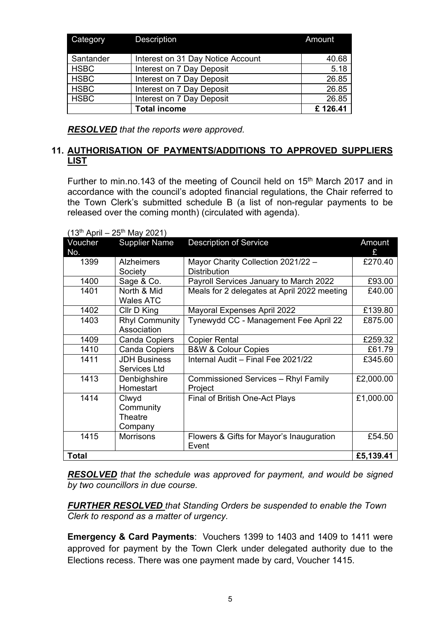| Category    | Description                       | Amount  |
|-------------|-----------------------------------|---------|
| Santander   | Interest on 31 Day Notice Account | 40.68   |
| <b>HSBC</b> | Interest on 7 Day Deposit         | 5.18    |
| <b>HSBC</b> | Interest on 7 Day Deposit         | 26.85   |
| <b>HSBC</b> | Interest on 7 Day Deposit         | 26.85   |
| <b>HSBC</b> | Interest on 7 Day Deposit         | 26.85   |
|             | <b>Total income</b>               | £126.41 |

*RESOLVED that the reports were approved.*

# **11. AUTHORISATION OF PAYMENTS/ADDITIONS TO APPROVED SUPPLIERS LIST**

Further to min.no.143 of the meeting of Council held on 15<sup>th</sup> March 2017 and in accordance with the council's adopted financial regulations, the Chair referred to the Town Clerk's submitted schedule B (a list of non-regular payments to be released over the coming month) (circulated with agenda).

| Voucher<br>No. | <b>Supplier Name</b>  | <b>Description of Service</b>               | Amount<br>£ |
|----------------|-----------------------|---------------------------------------------|-------------|
| 1399           | <b>Alzheimers</b>     | Mayor Charity Collection 2021/22 -          | £270.40     |
|                | Society               | <b>Distribution</b>                         |             |
| 1400           | Sage & Co.            | Payroll Services January to March 2022      | £93.00      |
| 1401           | North & Mid           | Meals for 2 delegates at April 2022 meeting | £40.00      |
|                | Wales ATC             |                                             |             |
| 1402           | Cllr D King           | Mayoral Expenses April 2022                 | £139.80     |
| 1403           | <b>Rhyl Community</b> | Tynewydd CC - Management Fee April 22       | £875.00     |
|                | Association           |                                             |             |
| 1409           | <b>Canda Copiers</b>  | <b>Copier Rental</b>                        | £259.32     |
| 1410           | <b>Canda Copiers</b>  | <b>B&amp;W &amp; Colour Copies</b>          | £61.79      |
| 1411           | <b>JDH Business</b>   | Internal Audit - Final Fee 2021/22          | £345.60     |
|                | Services Ltd          |                                             |             |
| 1413           | Denbighshire          | <b>Commissioned Services - Rhyl Family</b>  | £2,000.00   |
|                | Homestart             | Project                                     |             |
| 1414           | Clwyd                 | Final of British One-Act Plays              | £1,000.00   |
|                | Community             |                                             |             |
|                | Theatre               |                                             |             |
|                | Company               |                                             |             |
| 1415           | Morrisons             | Flowers & Gifts for Mayor's Inauguration    | £54.50      |
|                |                       | Event                                       |             |
| <b>Total</b>   |                       |                                             | £5,139.41   |

 $(13^{th}$  April – 25<sup>th</sup> May 2021)

*RESOLVED that the schedule was approved for payment, and would be signed by two councillors in due course.*

*FURTHER RESOLVED that Standing Orders be suspended to enable the Town Clerk to respond as a matter of urgency.*

**Emergency & Card Payments**: Vouchers 1399 to 1403 and 1409 to 1411 were approved for payment by the Town Clerk under delegated authority due to the Elections recess. There was one payment made by card, Voucher 1415.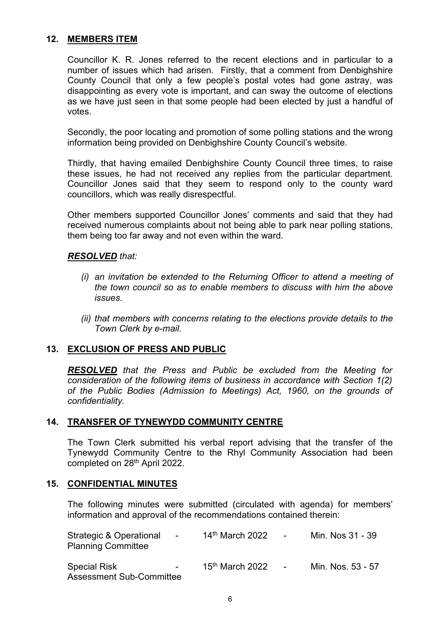## **12. MEMBERS ITEM**

Councillor K. R. Jones referred to the recent elections and in particular to a number of issues which had arisen. Firstly, that a comment from Denbighshire County Council that only a few people's postal votes had gone astray, was disappointing as every vote is important, and can sway the outcome of elections as we have just seen in that some people had been elected by just a handful of votes.

Secondly, the poor locating and promotion of some polling stations and the wrong information being provided on Denbighshire County Council's website.

Thirdly, that having emailed Denbighshire County Council three times, to raise these issues, he had not received any replies from the particular department. Councillor Jones said that they seem to respond only to the county ward councillors, which was really disrespectful.

Other members supported Councillor Jones' comments and said that they had received numerous complaints about not being able to park near polling stations, them being too far away and not even within the ward.

### *RESOLVED that:*

- *(i) an invitation be extended to the Returning Officer to attend a meeting of the town council so as to enable members to discuss with him the above issues.*
- *(ii) that members with concerns relating to the elections provide details to the Town Clerk by e-mail.*

# **13. EXCLUSION OF PRESS AND PUBLIC**

*RESOLVED that the Press and Public be excluded from the Meeting for consideration of the following items of business in accordance with Section 1(2) of the Public Bodies (Admission to Meetings) Act, 1960, on the grounds of confidentiality.*

### **14. TRANSFER OF TYNEWYDD COMMUNITY CENTRE**

 The Town Clerk submitted his verbal report advising that the transfer of the Tynewydd Community Centre to the Rhyl Community Association had been completed on 28th April 2022.

### **15. CONFIDENTIAL MINUTES**

The following minutes were submitted (circulated with agenda) for members' information and approval of the recommendations contained therein:

| <b>Strategic &amp; Operational</b><br>$\blacksquare$<br><b>Planning Committee</b> | $14th$ March 2022 | <b>Contract Contract Contract</b> | Min. Nos 31 - 39  |
|-----------------------------------------------------------------------------------|-------------------|-----------------------------------|-------------------|
| <b>Special Risk</b><br>$\sim$<br><b>Assessment Sub-Committee</b>                  | $15th$ March 2022 | <b>Contract Contract</b>          | Min. Nos. 53 - 57 |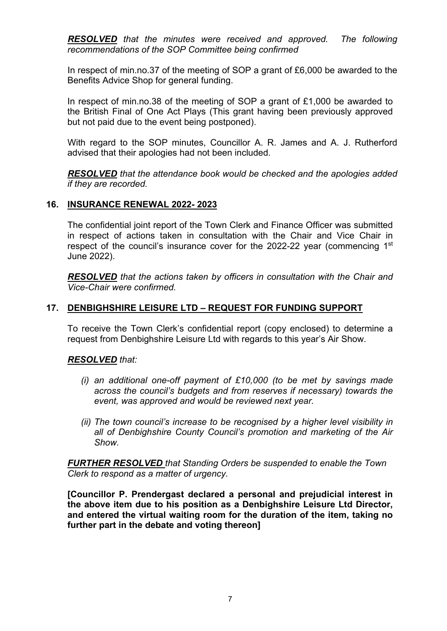*RESOLVED that the minutes were received and approved. The following recommendations of the SOP Committee being confirmed*

In respect of min.no.37 of the meeting of SOP a grant of £6,000 be awarded to the Benefits Advice Shop for general funding.

In respect of min.no.38 of the meeting of SOP a grant of £1,000 be awarded to the British Final of One Act Plays (This grant having been previously approved but not paid due to the event being postponed).

With regard to the SOP minutes, Councillor A. R. James and A. J. Rutherford advised that their apologies had not been included.

*RESOLVED that the attendance book would be checked and the apologies added if they are recorded.*

### **16. INSURANCE RENEWAL 2022- 2023**

 The confidential joint report of the Town Clerk and Finance Officer was submitted in respect of actions taken in consultation with the Chair and Vice Chair in respect of the council's insurance cover for the 2022-22 year (commencing 1<sup>st</sup> June 2022).

*RESOLVED that the actions taken by officers in consultation with the Chair and Vice-Chair were confirmed.* 

# **17. DENBIGHSHIRE LEISURE LTD – REQUEST FOR FUNDING SUPPORT**

To receive the Town Clerk's confidential report (copy enclosed) to determine a request from Denbighshire Leisure Ltd with regards to this year's Air Show.

### *RESOLVED that:*

- *(i) an additional one-off payment of £10,000 (to be met by savings made across the council's budgets and from reserves if necessary) towards the event, was approved and would be reviewed next year.*
- *(ii) The town council's increase to be recognised by a higher level visibility in all of Denbighshire County Council's promotion and marketing of the Air Show.*

*FURTHER RESOLVED that Standing Orders be suspended to enable the Town Clerk to respond as a matter of urgency.*

**[Councillor P. Prendergast declared a personal and prejudicial interest in the above item due to his position as a Denbighshire Leisure Ltd Director, and entered the virtual waiting room for the duration of the item, taking no further part in the debate and voting thereon]**